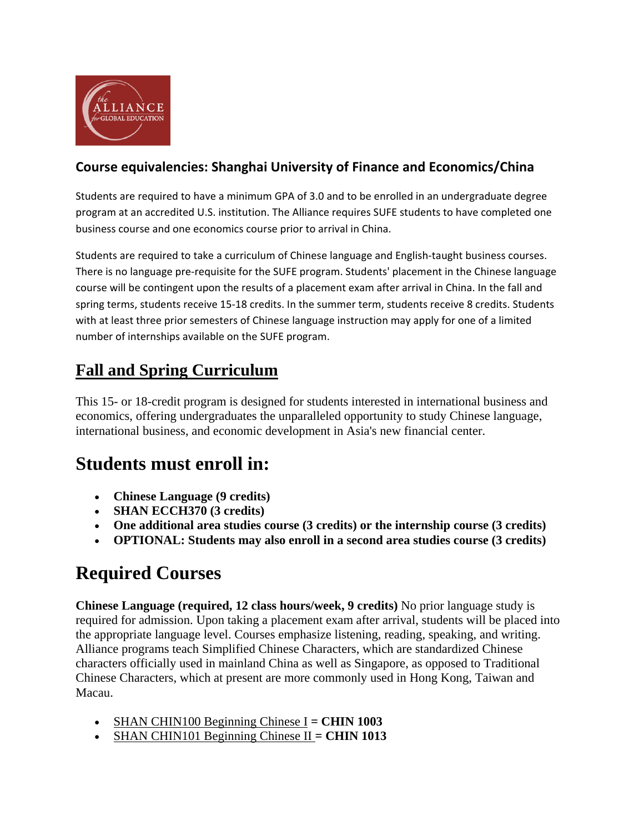

#### **Course equivalencies: Shanghai University of Finance and Economics/China**

Students are required to have a minimum GPA of 3.0 and to be enrolled in an undergraduate degree program at an accredited U.S. institution. The Alliance requires SUFE students to have completed one business course and one economics course prior to arrival in China.

Students are required to take a curriculum of Chinese language and English‐taught business courses. There is no language pre‐requisite for the SUFE program. Students' placement in the Chinese language course will be contingent upon the results of a placement exam after arrival in China. In the fall and spring terms, students receive 15‐18 credits. In the summer term, students receive 8 credits. Students with at least three prior semesters of Chinese language instruction may apply for one of a limited number of internships available on the SUFE program.

#### **Fall and Spring Curriculum**

This 15- or 18-credit program is designed for students interested in international business and economics, offering undergraduates the unparalleled opportunity to study Chinese language, international business, and economic development in Asia's new financial center.

## **Students must enroll in:**

- **Chinese Language (9 credits)**
- **SHAN ECCH370 (3 credits)**
- **One additional area studies course (3 credits) or the internship course (3 credits)**
- **OPTIONAL: Students may also enroll in a second area studies course (3 credits)**

# **Required Courses**

**Chinese Language (required, 12 class hours/week, 9 credits)** No prior language study is required for admission. Upon taking a placement exam after arrival, students will be placed into the appropriate language level. Courses emphasize listening, reading, speaking, and writing. Alliance programs teach Simplified Chinese Characters, which are standardized Chinese characters officially used in mainland China as well as Singapore, as opposed to Traditional Chinese Characters, which at present are more commonly used in Hong Kong, Taiwan and Macau.

- SHAN CHIN100 Beginning Chinese I **= CHIN 1003**
- SHAN CHIN101 Beginning Chinese II **= CHIN 1013**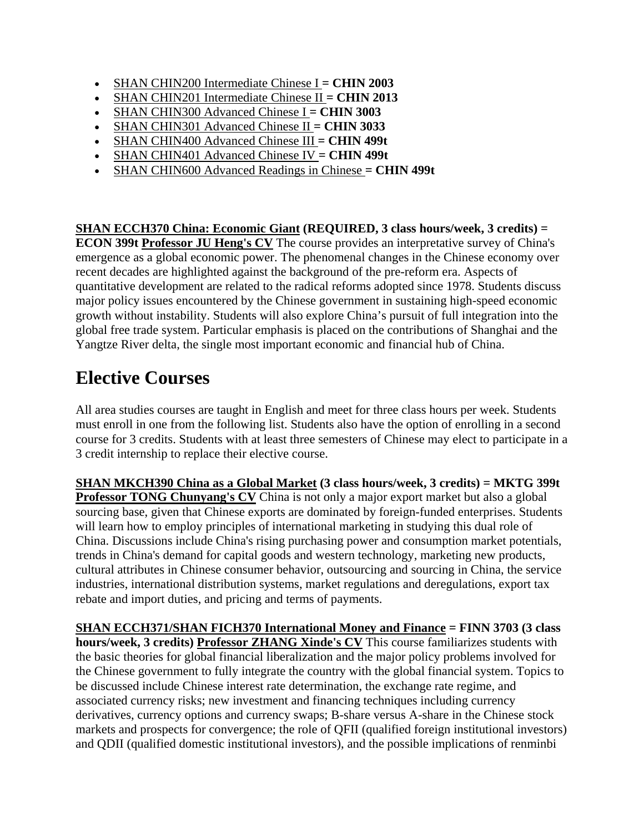- SHAN CHIN200 Intermediate Chinese I **= CHIN 2003**
- SHAN CHIN201 Intermediate Chinese II **= CHIN 2013**
- SHAN CHIN300 Advanced Chinese I **= CHIN 3003**
- SHAN CHIN301 Advanced Chinese II **= CHIN 3033**
- SHAN CHIN400 Advanced Chinese III **= CHIN 499t**
- SHAN CHIN401 Advanced Chinese IV **= CHIN 499t**
- SHAN CHIN600 Advanced Readings in Chinese **= CHIN 499t**

**SHAN ECCH370 China: Economic Giant (REQUIRED, 3 class hours/week, 3 credits) = ECON 399t Professor JU Heng's CV** The course provides an interpretative survey of China's emergence as a global economic power. The phenomenal changes in the Chinese economy over recent decades are highlighted against the background of the pre-reform era. Aspects of quantitative development are related to the radical reforms adopted since 1978. Students discuss major policy issues encountered by the Chinese government in sustaining high-speed economic growth without instability. Students will also explore China's pursuit of full integration into the global free trade system. Particular emphasis is placed on the contributions of Shanghai and the Yangtze River delta, the single most important economic and financial hub of China.

# **Elective Courses**

All area studies courses are taught in English and meet for three class hours per week. Students must enroll in one from the following list. Students also have the option of enrolling in a second course for 3 credits. Students with at least three semesters of Chinese may elect to participate in a 3 credit internship to replace their elective course.

**SHAN MKCH390 China as a Global Market (3 class hours/week, 3 credits) = MKTG 399t Professor TONG Chunyang's CV** China is not only a major export market but also a global sourcing base, given that Chinese exports are dominated by foreign-funded enterprises. Students will learn how to employ principles of international marketing in studying this dual role of China. Discussions include China's rising purchasing power and consumption market potentials, trends in China's demand for capital goods and western technology, marketing new products, cultural attributes in Chinese consumer behavior, outsourcing and sourcing in China, the service industries, international distribution systems, market regulations and deregulations, export tax rebate and import duties, and pricing and terms of payments.

**SHAN ECCH371/SHAN FICH370 International Money and Finance = FINN 3703 (3 class hours/week, 3 credits) Professor ZHANG Xinde's CV** This course familiarizes students with the basic theories for global financial liberalization and the major policy problems involved for the Chinese government to fully integrate the country with the global financial system. Topics to be discussed include Chinese interest rate determination, the exchange rate regime, and associated currency risks; new investment and financing techniques including currency derivatives, currency options and currency swaps; B-share versus A-share in the Chinese stock markets and prospects for convergence; the role of QFII (qualified foreign institutional investors) and QDII (qualified domestic institutional investors), and the possible implications of renminbi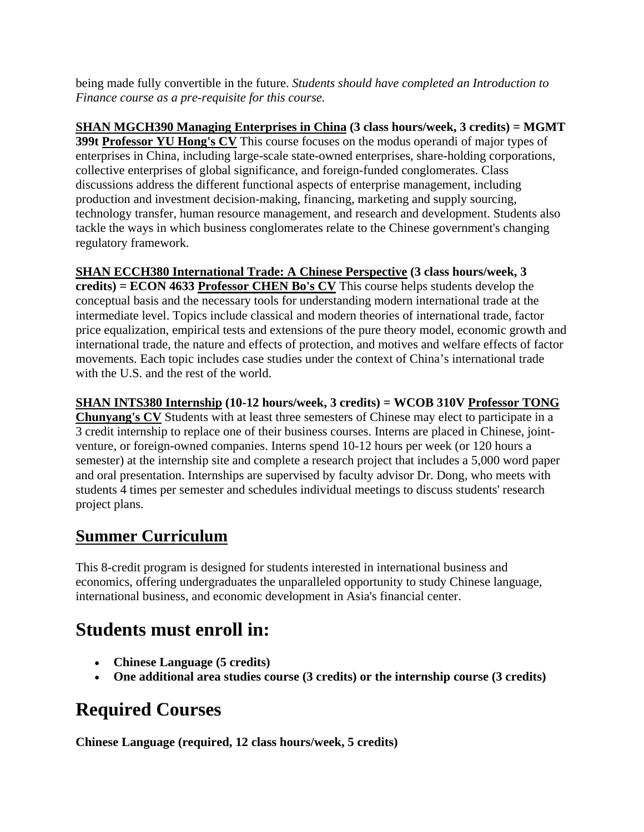being made fully convertible in the future. *Students should have completed an Introduction to Finance course as a pre-requisite for this course.*

**SHAN MGCH390 Managing Enterprises in China (3 class hours/week, 3 credits) = MGMT 399t Professor YU Hong's CV** This course focuses on the modus operandi of major types of enterprises in China, including large-scale state-owned enterprises, share-holding corporations, collective enterprises of global significance, and foreign-funded conglomerates. Class discussions address the different functional aspects of enterprise management, including production and investment decision-making, financing, marketing and supply sourcing, technology transfer, human resource management, and research and development. Students also tackle the ways in which business conglomerates relate to the Chinese government's changing regulatory framework.

**SHAN ECCH380 International Trade: A Chinese Perspective (3 class hours/week, 3 credits) = ECON 4633 Professor CHEN Bo's CV** This course helps students develop the conceptual basis and the necessary tools for understanding modern international trade at the intermediate level. Topics include classical and modern theories of international trade, factor price equalization, empirical tests and extensions of the pure theory model, economic growth and international trade, the nature and effects of protection, and motives and welfare effects of factor movements. Each topic includes case studies under the context of China's international trade with the U.S. and the rest of the world.

**SHAN INTS380 Internship (10-12 hours/week, 3 credits) = WCOB 310V Professor TONG Chunyang's CV** Students with at least three semesters of Chinese may elect to participate in a 3 credit internship to replace one of their business courses. Interns are placed in Chinese, jointventure, or foreign-owned companies. Interns spend 10-12 hours per week (or 120 hours a semester) at the internship site and complete a research project that includes a 5,000 word paper and oral presentation. Internships are supervised by faculty advisor Dr. Dong, who meets with students 4 times per semester and schedules individual meetings to discuss students' research project plans.

#### **Summer Curriculum**

This 8-credit program is designed for students interested in international business and economics, offering undergraduates the unparalleled opportunity to study Chinese language, international business, and economic development in Asia's financial center.

## **Students must enroll in:**

- **Chinese Language (5 credits)**
- **One additional area studies course (3 credits) or the internship course (3 credits)**

# **Required Courses**

**Chinese Language (required, 12 class hours/week, 5 credits)**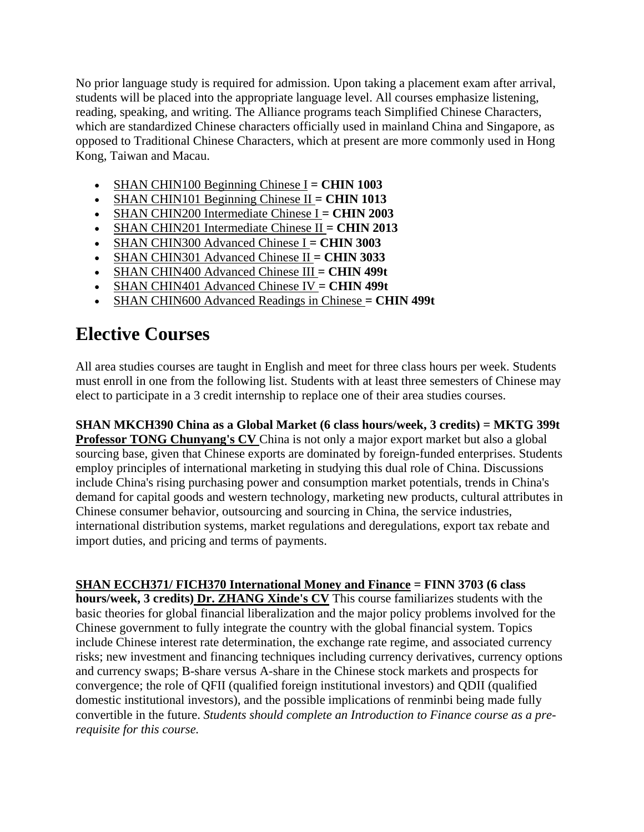No prior language study is required for admission. Upon taking a placement exam after arrival, students will be placed into the appropriate language level. All courses emphasize listening, reading, speaking, and writing. The Alliance programs teach Simplified Chinese Characters, which are standardized Chinese characters officially used in mainland China and Singapore, as opposed to Traditional Chinese Characters, which at present are more commonly used in Hong Kong, Taiwan and Macau.

- SHAN CHIN100 Beginning Chinese I **= CHIN 1003**
- SHAN CHIN101 Beginning Chinese II **= CHIN 1013**
- SHAN CHIN200 Intermediate Chinese I **= CHIN 2003**
- SHAN CHIN201 Intermediate Chinese II **= CHIN 2013**
- SHAN CHIN300 Advanced Chinese I **= CHIN 3003**
- SHAN CHIN301 Advanced Chinese II **= CHIN 3033**
- SHAN CHIN400 Advanced Chinese III **= CHIN 499t**
- SHAN CHIN401 Advanced Chinese IV **= CHIN 499t**
- SHAN CHIN600 Advanced Readings in Chinese **= CHIN 499t**

## **Elective Courses**

All area studies courses are taught in English and meet for three class hours per week. Students must enroll in one from the following list. Students with at least three semesters of Chinese may elect to participate in a 3 credit internship to replace one of their area studies courses.

**SHAN MKCH390 China as a Global Market (6 class hours/week, 3 credits) = MKTG 399t Professor TONG Chunyang's CV** China is not only a major export market but also a global sourcing base, given that Chinese exports are dominated by foreign-funded enterprises. Students employ principles of international marketing in studying this dual role of China. Discussions include China's rising purchasing power and consumption market potentials, trends in China's demand for capital goods and western technology, marketing new products, cultural attributes in Chinese consumer behavior, outsourcing and sourcing in China, the service industries, international distribution systems, market regulations and deregulations, export tax rebate and import duties, and pricing and terms of payments.

**SHAN ECCH371/ FICH370 International Money and Finance = FINN 3703 (6 class hours/week, 3 credits) Dr. ZHANG Xinde's CV** This course familiarizes students with the basic theories for global financial liberalization and the major policy problems involved for the Chinese government to fully integrate the country with the global financial system. Topics include Chinese interest rate determination, the exchange rate regime, and associated currency risks; new investment and financing techniques including currency derivatives, currency options and currency swaps; B-share versus A-share in the Chinese stock markets and prospects for convergence; the role of QFII (qualified foreign institutional investors) and QDII (qualified domestic institutional investors), and the possible implications of renminbi being made fully convertible in the future. *Students should complete an Introduction to Finance course as a prerequisite for this course.*